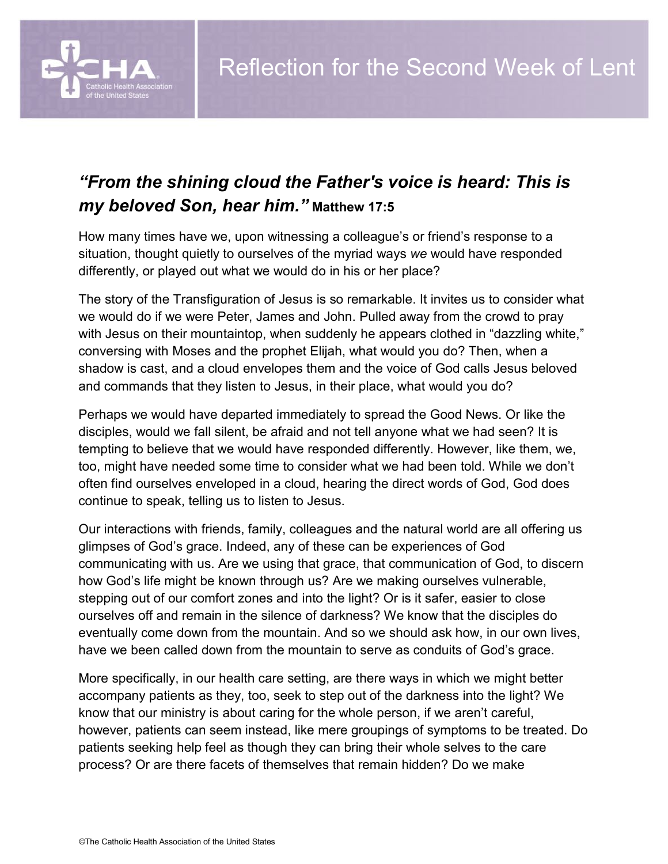

## *"From the shining cloud the Father's voice is heard: This is my beloved Son, hear him."* **Matthew 17:5**

How many times have we, upon witnessing a colleague's or friend's response to a situation, thought quietly to ourselves of the myriad ways *we* would have responded differently, or played out what we would do in his or her place?

The story of the Transfiguration of Jesus is so remarkable. It invites us to consider what we would do if we were Peter, James and John. Pulled away from the crowd to pray with Jesus on their mountaintop, when suddenly he appears clothed in "dazzling white," conversing with Moses and the prophet Elijah, what would you do? Then, when a shadow is cast, and a cloud envelopes them and the voice of God calls Jesus beloved and commands that they listen to Jesus, in their place, what would you do?

Perhaps we would have departed immediately to spread the Good News. Or like the disciples, would we fall silent, be afraid and not tell anyone what we had seen? It is tempting to believe that we would have responded differently. However, like them, we, too, might have needed some time to consider what we had been told. While we don't often find ourselves enveloped in a cloud, hearing the direct words of God, God does continue to speak, telling us to listen to Jesus.

Our interactions with friends, family, colleagues and the natural world are all offering us glimpses of God's grace. Indeed, any of these can be experiences of God communicating with us. Are we using that grace, that communication of God, to discern how God's life might be known through us? Are we making ourselves vulnerable, stepping out of our comfort zones and into the light? Or is it safer, easier to close ourselves off and remain in the silence of darkness? We know that the disciples do eventually come down from the mountain. And so we should ask how, in our own lives, have we been called down from the mountain to serve as conduits of God's grace.

More specifically, in our health care setting, are there ways in which we might better accompany patients as they, too, seek to step out of the darkness into the light? We know that our ministry is about caring for the whole person, if we aren't careful, however, patients can seem instead, like mere groupings of symptoms to be treated. Do patients seeking help feel as though they can bring their whole selves to the care process? Or are there facets of themselves that remain hidden? Do we make